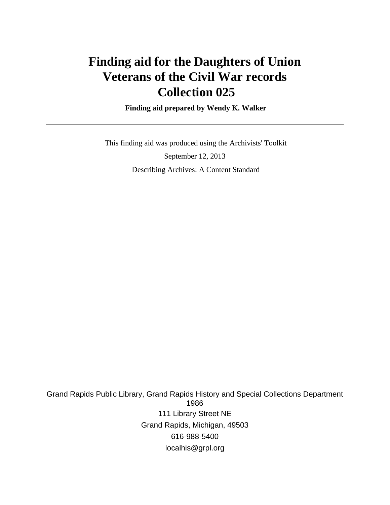## **Finding aid for the Daughters of Union Veterans of the Civil War records Collection 025**

 **Finding aid prepared by Wendy K. Walker**

 This finding aid was produced using the Archivists' Toolkit September 12, 2013 Describing Archives: A Content Standard

Grand Rapids Public Library, Grand Rapids History and Special Collections Department 1986 111 Library Street NE Grand Rapids, Michigan, 49503 616-988-5400 localhis@grpl.org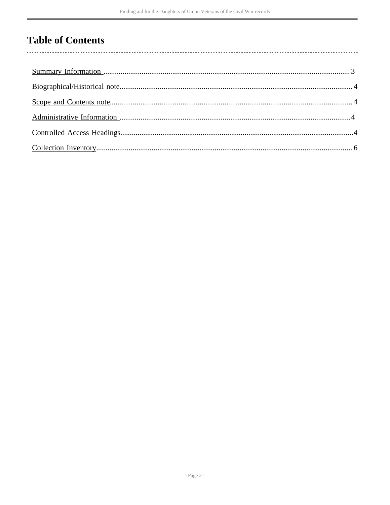## **Table of Contents**

l,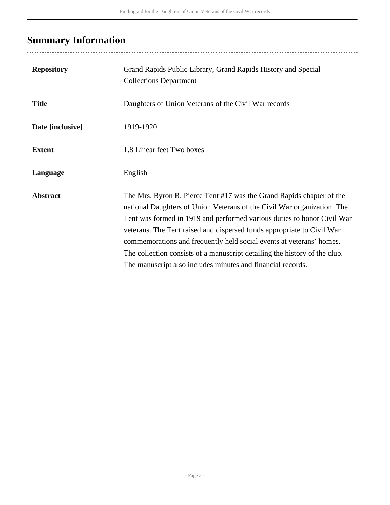## <span id="page-2-0"></span>**Summary Information**

| <b>Repository</b> | Grand Rapids Public Library, Grand Rapids History and Special<br><b>Collections Department</b>                                                                                                                                                                                                                                                                                                                                                                                                                             |
|-------------------|----------------------------------------------------------------------------------------------------------------------------------------------------------------------------------------------------------------------------------------------------------------------------------------------------------------------------------------------------------------------------------------------------------------------------------------------------------------------------------------------------------------------------|
| <b>Title</b>      | Daughters of Union Veterans of the Civil War records                                                                                                                                                                                                                                                                                                                                                                                                                                                                       |
| Date [inclusive]  | 1919-1920                                                                                                                                                                                                                                                                                                                                                                                                                                                                                                                  |
| <b>Extent</b>     | 1.8 Linear feet Two boxes                                                                                                                                                                                                                                                                                                                                                                                                                                                                                                  |
| Language          | English                                                                                                                                                                                                                                                                                                                                                                                                                                                                                                                    |
| <b>Abstract</b>   | The Mrs. Byron R. Pierce Tent #17 was the Grand Rapids chapter of the<br>national Daughters of Union Veterans of the Civil War organization. The<br>Tent was formed in 1919 and performed various duties to honor Civil War<br>veterans. The Tent raised and dispersed funds appropriate to Civil War<br>commemorations and frequently held social events at veterans' homes.<br>The collection consists of a manuscript detailing the history of the club.<br>The manuscript also includes minutes and financial records. |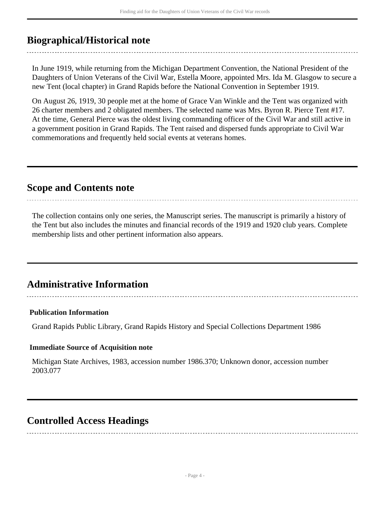### <span id="page-3-0"></span>**Biographical/Historical note**

In June 1919, while returning from the Michigan Department Convention, the National President of the Daughters of Union Veterans of the Civil War, Estella Moore, appointed Mrs. Ida M. Glasgow to secure a new Tent (local chapter) in Grand Rapids before the National Convention in September 1919.

On August 26, 1919, 30 people met at the home of Grace Van Winkle and the Tent was organized with 26 charter members and 2 obligated members. The selected name was Mrs. Byron R. Pierce Tent #17. At the time, General Pierce was the oldest living commanding officer of the Civil War and still active in a government position in Grand Rapids. The Tent raised and dispersed funds appropriate to Civil War commemorations and frequently held social events at veterans homes.

### <span id="page-3-1"></span>**Scope and Contents note**

The collection contains only one series, the Manuscript series. The manuscript is primarily a history of the Tent but also includes the minutes and financial records of the 1919 and 1920 club years. Complete membership lists and other pertinent information also appears.

### <span id="page-3-2"></span>**Administrative Information**

#### **Publication Information**

Grand Rapids Public Library, Grand Rapids History and Special Collections Department 1986

#### **Immediate Source of Acquisition note**

Michigan State Archives, 1983, accession number 1986.370; Unknown donor, accession number 2003.077

### <span id="page-3-3"></span>**Controlled Access Headings**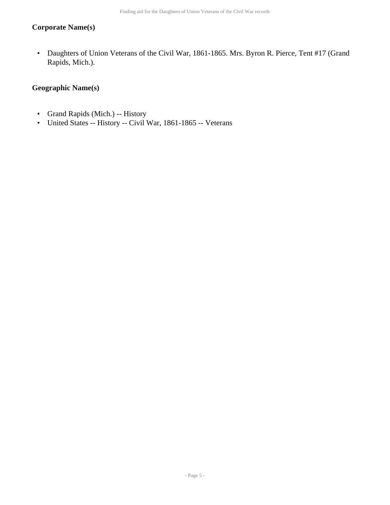#### **Corporate Name(s)**

• Daughters of Union Veterans of the Civil War, 1861-1865. Mrs. Byron R. Pierce, Tent #17 (Grand Rapids, Mich.).

#### **Geographic Name(s)**

- Grand Rapids (Mich.) -- History
- United States -- History -- Civil War, 1861-1865 -- Veterans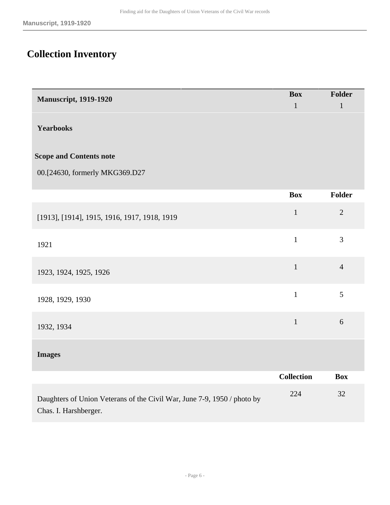# <span id="page-5-0"></span>**Collection Inventory**

| <b>Manuscript, 1919-1920</b>                                                                     | <b>Box</b>        | Folder         |
|--------------------------------------------------------------------------------------------------|-------------------|----------------|
|                                                                                                  | $\mathbf{1}$      | $\mathbf{1}$   |
| <b>Yearbooks</b>                                                                                 |                   |                |
| <b>Scope and Contents note</b>                                                                   |                   |                |
| 00.[24630, formerly MKG369.D27                                                                   |                   |                |
|                                                                                                  | <b>Box</b>        | <b>Folder</b>  |
| [1913], [1914], 1915, 1916, 1917, 1918, 1919                                                     | $\mathbf{1}$      | $\overline{2}$ |
| 1921                                                                                             | $\mathbf{1}$      | $\overline{3}$ |
| 1923, 1924, 1925, 1926                                                                           | $\mathbf{1}$      | $\overline{4}$ |
| 1928, 1929, 1930                                                                                 | $\mathbf{1}$      | 5              |
| 1932, 1934                                                                                       | $\mathbf{1}$      | 6              |
| <b>Images</b>                                                                                    |                   |                |
|                                                                                                  | <b>Collection</b> | <b>Box</b>     |
| Daughters of Union Veterans of the Civil War, June 7-9, 1950 / photo by<br>Chas. I. Harshberger. | 224               | 32             |